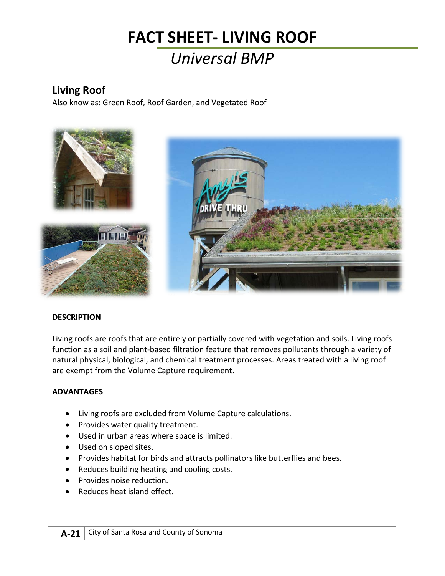## **FACT SHEET- LIVING ROOF** *Universal BMP*

### **Living Roof**

Also know as: Green Roof, Roof Garden, and Vegetated Roof



#### **DESCRIPTION**

Living roofs are roofs that are entirely or partially covered with vegetation and soils. Living roofs function as a soil and plant-based filtration feature that removes pollutants through a variety of natural physical, biological, and chemical treatment processes. Areas treated with a living roof are exempt from the Volume Capture requirement.

#### **ADVANTAGES**

- Living roofs are excluded from Volume Capture calculations.
- Provides water quality treatment.
- Used in urban areas where space is limited.
- Used on sloped sites.
- Provides habitat for birds and attracts pollinators like butterflies and bees.
- Reduces building heating and cooling costs.
- Provides noise reduction.
- Reduces heat island effect.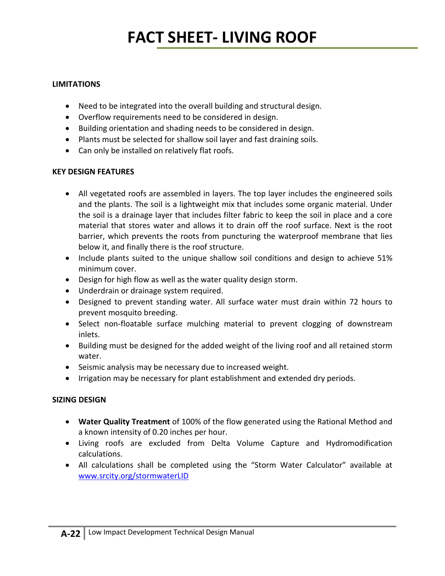## **FACT SHEET- LIVING ROOF**

#### **LIMITATIONS**

- Need to be integrated into the overall building and structural design.
- Overflow requirements need to be considered in design.
- Building orientation and shading needs to be considered in design.
- Plants must be selected for shallow soil layer and fast draining soils.
- Can only be installed on relatively flat roofs.

#### **KEY DESIGN FEATURES**

- All vegetated roofs are assembled in layers. The top layer includes the engineered soils and the plants. The soil is a lightweight mix that includes some organic material. Under the soil is a drainage layer that includes filter fabric to keep the soil in place and a core material that stores water and allows it to drain off the roof surface. Next is the root barrier, which prevents the roots from puncturing the waterproof membrane that lies below it, and finally there is the roof structure.
- Include plants suited to the unique shallow soil conditions and design to achieve 51% minimum cover.
- Design for high flow as well as the water quality design storm.
- Underdrain or drainage system required.
- Designed to prevent standing water. All surface water must drain within 72 hours to prevent mosquito breeding.
- Select non-floatable surface mulching material to prevent clogging of downstream inlets.
- Building must be designed for the added weight of the living roof and all retained storm water.
- Seismic analysis may be necessary due to increased weight.
- Irrigation may be necessary for plant establishment and extended dry periods.

#### **SIZING DESIGN**

- **Water Quality Treatment** of 100% of the flow generated using the Rational Method and a known intensity of 0.20 inches per hour.
- Living roofs are excluded from Delta Volume Capture and Hydromodification calculations.
- All calculations shall be completed using the "Storm Water Calculator" available at [www.srcity.org/stormwaterLID](http://www.srcity.org/stormwaterLID)